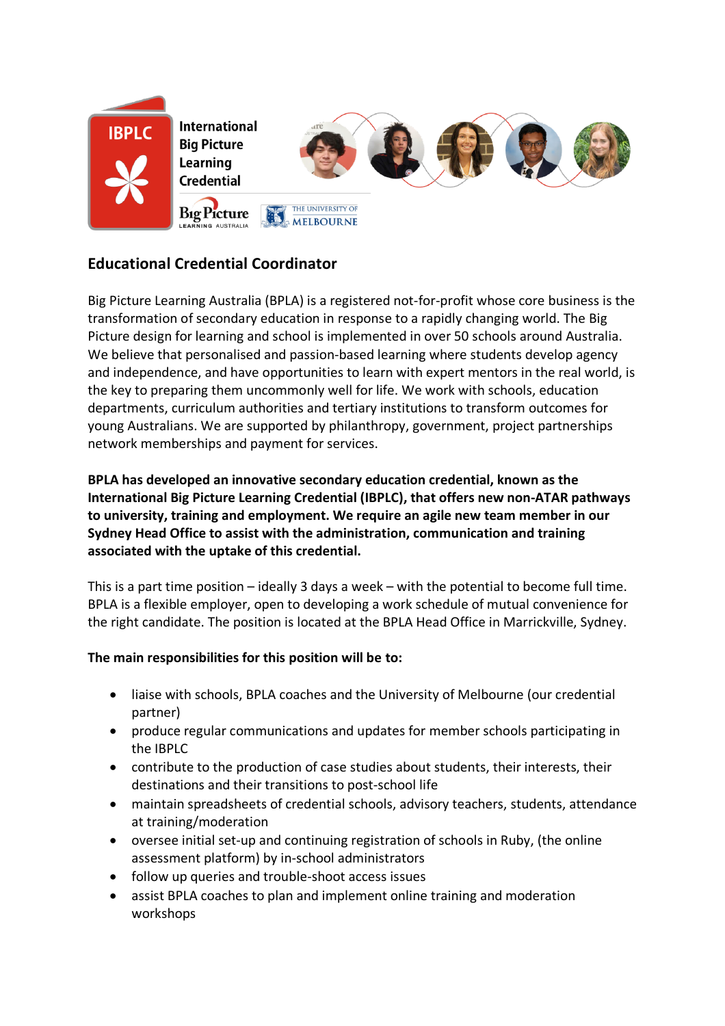

## **Educational Credential Coordinator**

Big Picture Learning Australia (BPLA) is a registered not-for-profit whose core business is the transformation of secondary education in response to a rapidly changing world. The Big Picture design for learning and school is implemented in over 50 schools around Australia. We believe that personalised and passion-based learning where students develop agency and independence, and have opportunities to learn with expert mentors in the real world, is the key to preparing them uncommonly well for life. We work with schools, education departments, curriculum authorities and tertiary institutions to transform outcomes for young Australians. We are supported by philanthropy, government, project partnerships network memberships and payment for services.

**BPLA has developed an innovative secondary education credential, known as the International Big Picture Learning Credential (IBPLC), that offers new non-ATAR pathways to university, training and employment. We require an agile new team member in our Sydney Head Office to assist with the administration, communication and training associated with the uptake of this credential.** 

This is a part time position – ideally 3 days a week – with the potential to become full time. BPLA is a flexible employer, open to developing a work schedule of mutual convenience for the right candidate. The position is located at the BPLA Head Office in Marrickville, Sydney.

## **The main responsibilities for this position will be to:**

- liaise with schools, BPLA coaches and the University of Melbourne (our credential partner)
- produce regular communications and updates for member schools participating in the IBPLC
- contribute to the production of case studies about students, their interests, their destinations and their transitions to post-school life
- maintain spreadsheets of credential schools, advisory teachers, students, attendance at training/moderation
- oversee initial set-up and continuing registration of schools in Ruby, (the online assessment platform) by in-school administrators
- follow up queries and trouble-shoot access issues
- assist BPLA coaches to plan and implement online training and moderation workshops